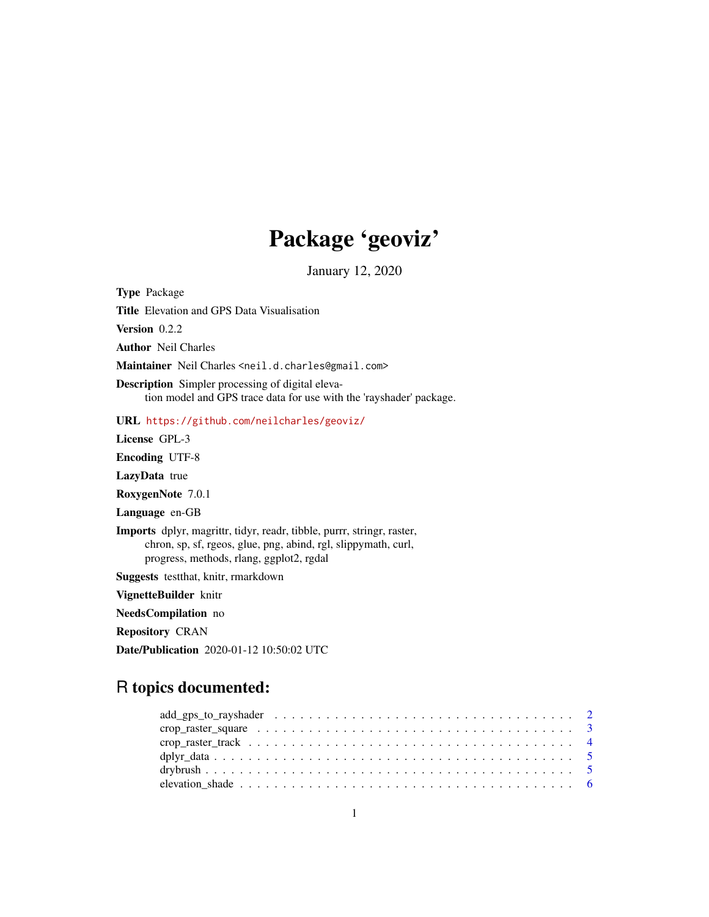## Package 'geoviz'

January 12, 2020

Type Package Title Elevation and GPS Data Visualisation Version 0.2.2 Author Neil Charles Maintainer Neil Charles <neil.d.charles@gmail.com> Description Simpler processing of digital elevation model and GPS trace data for use with the 'rayshader' package. URL <https://github.com/neilcharles/geoviz/> License GPL-3 Encoding UTF-8 LazyData true RoxygenNote 7.0.1 Language en-GB Imports dplyr, magrittr, tidyr, readr, tibble, purrr, stringr, raster, chron, sp, sf, rgeos, glue, png, abind, rgl, slippymath, curl, progress, methods, rlang, ggplot2, rgdal Suggests testthat, knitr, rmarkdown VignetteBuilder knitr NeedsCompilation no Repository CRAN Date/Publication 2020-01-12 10:50:02 UTC

### R topics documented: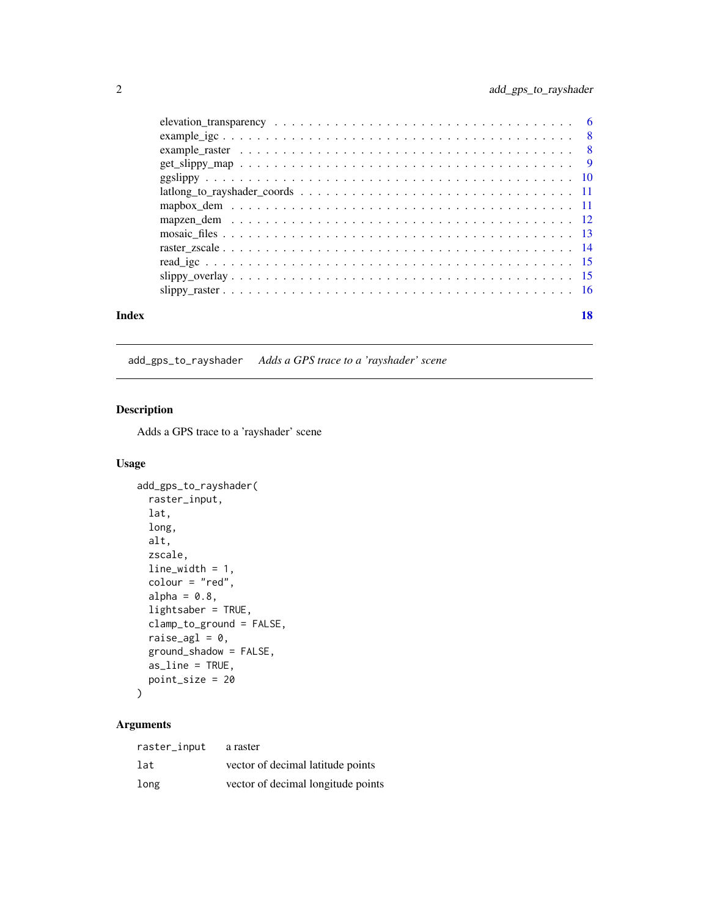<span id="page-1-0"></span>

| Index | 18 |
|-------|----|
|       |    |

add\_gps\_to\_rayshader *Adds a GPS trace to a 'rayshader' scene*

#### Description

Adds a GPS trace to a 'rayshader' scene

#### Usage

```
add_gps_to_rayshader(
 raster_input,
  lat,
 long,
  alt,
 zscale,
 line_width = 1,
  colour = "red",
  alpha = 0.8,
  lightsaber = TRUE,
  clamp_to_ground = FALSE,
 raise_agl = 0,
 ground_shadow = FALSE,
 as_line = TRUE,
 point_size = 20
)
```
#### Arguments

| raster_input | a raster                           |
|--------------|------------------------------------|
| lat          | vector of decimal latitude points  |
| long         | vector of decimal longitude points |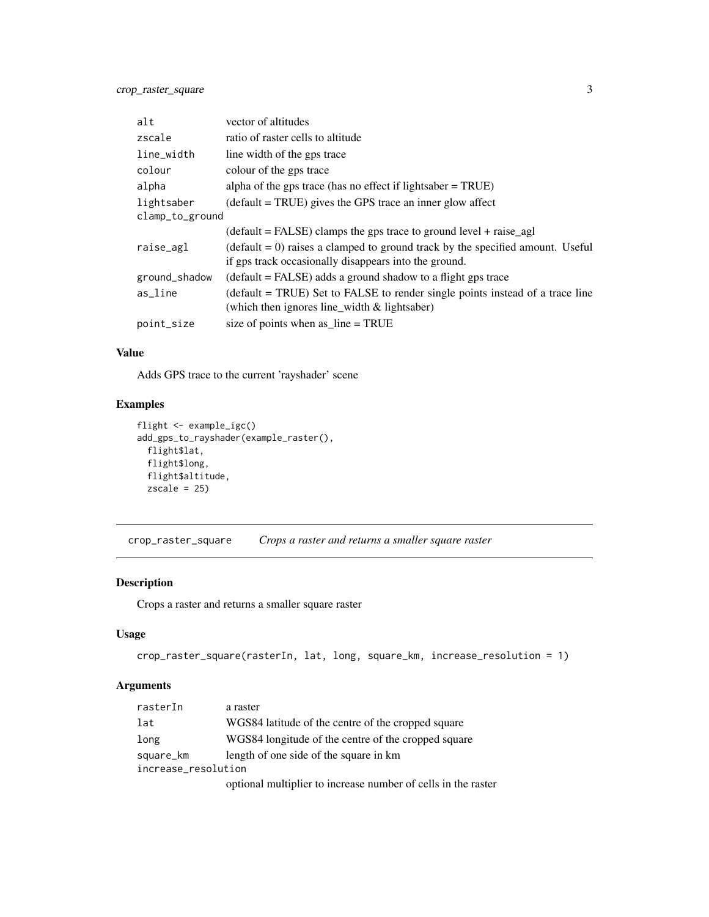<span id="page-2-0"></span>

| alt             | vector of altitudes                                                              |  |  |  |
|-----------------|----------------------------------------------------------------------------------|--|--|--|
| zscale          | ratio of raster cells to altitude                                                |  |  |  |
| line_width      | line width of the gps trace                                                      |  |  |  |
| colour          | colour of the gps trace                                                          |  |  |  |
| alpha           | alpha of the gps trace (has no effect if lightsaber $=$ TRUE)                    |  |  |  |
| lightsaber      | $(default = TRUE)$ gives the GPS trace an inner glow affect                      |  |  |  |
| clamp_to_ground |                                                                                  |  |  |  |
|                 | $(detault = FALSE)$ clamps the gps trace to ground level + raise_agl             |  |  |  |
| raise_agl       | $(detault = 0)$ raises a clamped to ground track by the specified amount. Useful |  |  |  |
|                 | if gps track occasionally disappears into the ground.                            |  |  |  |
| ground_shadow   | $(default = FALSE)$ adds a ground shadow to a flight gps trace                   |  |  |  |
| as_line         | (default = TRUE) Set to FALSE to render single points instead of a trace line    |  |  |  |
|                 | (which then ignores line_width $&$ lightsaber)                                   |  |  |  |
| point_size      | size of points when as $line = TRUE$                                             |  |  |  |

#### Value

Adds GPS trace to the current 'rayshader' scene

#### Examples

```
flight <- example_igc()
add_gps_to_rayshader(example_raster(),
  flight$lat,
  flight$long,
  flight$altitude,
  zscale = 25
```
crop\_raster\_square *Crops a raster and returns a smaller square raster*

#### Description

Crops a raster and returns a smaller square raster

#### Usage

```
crop_raster_square(rasterIn, lat, long, square_km, increase_resolution = 1)
```
#### Arguments

| rasterIn            | a raster                                                      |  |  |  |  |
|---------------------|---------------------------------------------------------------|--|--|--|--|
| lat                 | WGS84 latitude of the centre of the cropped square            |  |  |  |  |
| long                | WGS84 longitude of the centre of the cropped square           |  |  |  |  |
| square_km           | length of one side of the square in km                        |  |  |  |  |
| increase_resolution |                                                               |  |  |  |  |
|                     | optional multiplier to increase number of cells in the raster |  |  |  |  |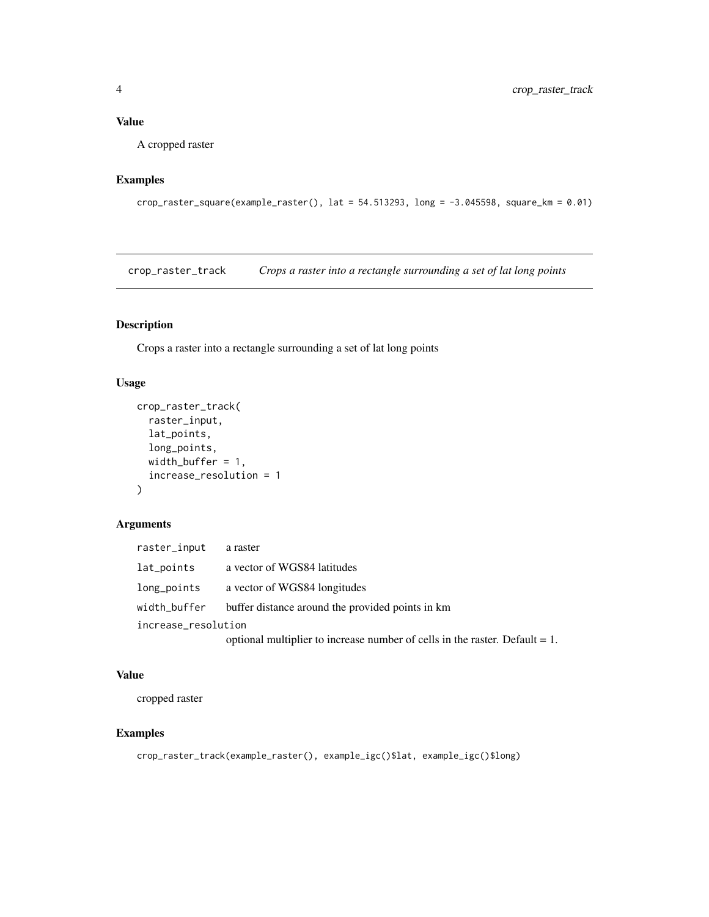#### <span id="page-3-0"></span>Value

A cropped raster

#### Examples

```
crop_raster_square(example_raster(), lat = 54.513293, long = -3.045598, square_km = 0.01)
```
crop\_raster\_track *Crops a raster into a rectangle surrounding a set of lat long points*

#### Description

Crops a raster into a rectangle surrounding a set of lat long points

#### Usage

```
crop_raster_track(
  raster_input,
 lat_points,
 long_points,
 width_buffer = 1,
  increase_resolution = 1
)
```
#### Arguments

| raster_input        | a raster                                                                       |
|---------------------|--------------------------------------------------------------------------------|
| lat_points          | a vector of WGS84 latitudes                                                    |
| long_points         | a vector of WGS84 longitudes                                                   |
| width_buffer        | buffer distance around the provided points in km                               |
| increase_resolution |                                                                                |
|                     | optional multiplier to increase number of cells in the raster. Default $= 1$ . |

#### Value

cropped raster

```
crop_raster_track(example_raster(), example_igc()$lat, example_igc()$long)
```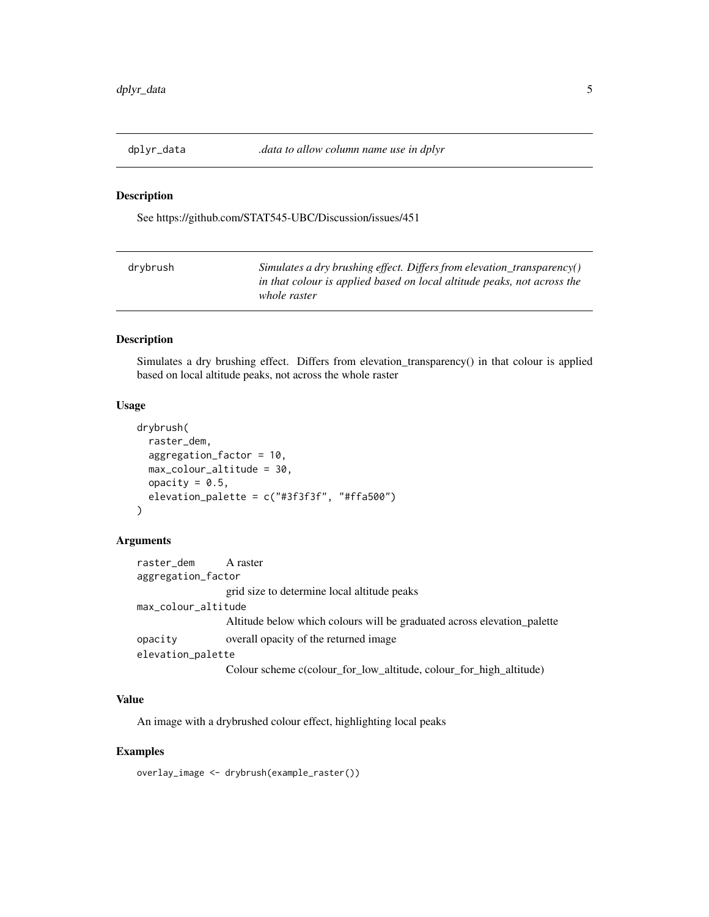<span id="page-4-0"></span>

See https://github.com/STAT545-UBC/Discussion/issues/451

| drybrush | Simulates a dry brushing effect. Differs from elevation_transparency()  |
|----------|-------------------------------------------------------------------------|
|          | in that colour is applied based on local altitude peaks, not across the |
|          | whole raster                                                            |

#### Description

Simulates a dry brushing effect. Differs from elevation\_transparency() in that colour is applied based on local altitude peaks, not across the whole raster

#### Usage

```
drybrush(
  raster_dem,
  aggregation_factor = 10,
 max_colour_altitude = 30,
 opacity = 0.5,
  elevation_palette = c("#3f3f3f", "#ffa500")
)
```
#### Arguments

| raster_dem A raster |                                                                         |
|---------------------|-------------------------------------------------------------------------|
| aggregation_factor  |                                                                         |
|                     | grid size to determine local altitude peaks                             |
| max_colour_altitude |                                                                         |
|                     | Altitude below which colours will be graduated across elevation_palette |
| opacity             | overall opacity of the returned image.                                  |
| elevation_palette   |                                                                         |
|                     | Colour scheme c(colour_for_low_altitude, colour_for_high_altitude)      |

#### Value

An image with a drybrushed colour effect, highlighting local peaks

#### Examples

overlay\_image <- drybrush(example\_raster())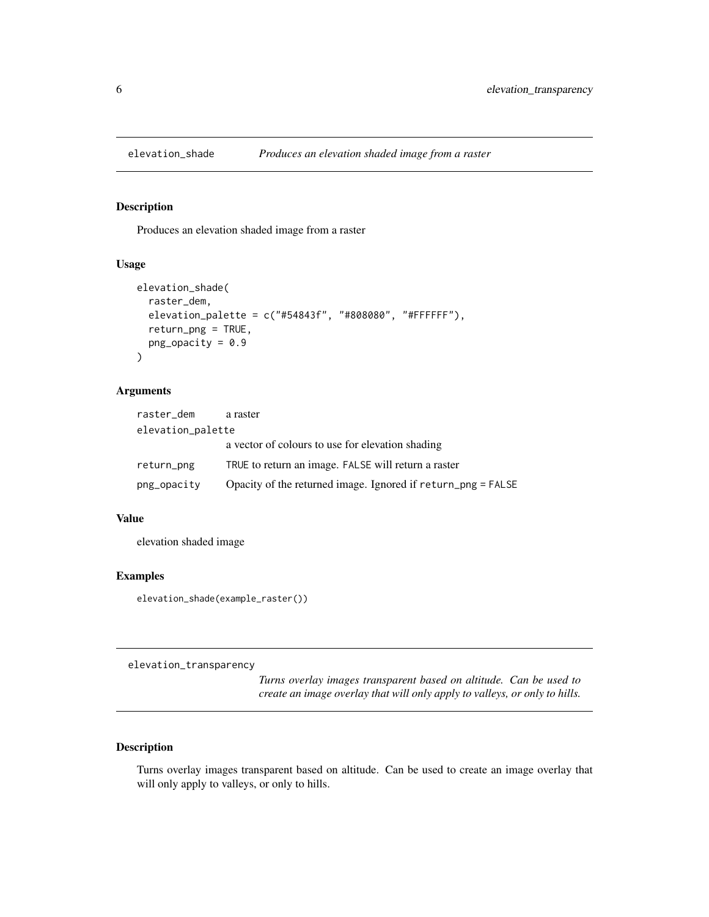<span id="page-5-0"></span>

Produces an elevation shaded image from a raster

#### Usage

```
elevation_shade(
  raster_dem,
  elevation_palette = c("#54843f", "#808080", "#FFFFFF"),
  return_png = TRUE,
 png\_opacity = 0.9\mathcal{E}
```
#### Arguments

| raster_dem        | a raster                                                     |  |  |  |  |
|-------------------|--------------------------------------------------------------|--|--|--|--|
| elevation_palette |                                                              |  |  |  |  |
|                   | a vector of colours to use for elevation shading             |  |  |  |  |
| return_png        | TRUE to return an image. FALSE will return a raster          |  |  |  |  |
| png_opacity       | Opacity of the returned image. Ignored if return_png = FALSE |  |  |  |  |

#### Value

elevation shaded image

#### Examples

elevation\_shade(example\_raster())

elevation\_transparency

*Turns overlay images transparent based on altitude. Can be used to create an image overlay that will only apply to valleys, or only to hills.*

#### Description

Turns overlay images transparent based on altitude. Can be used to create an image overlay that will only apply to valleys, or only to hills.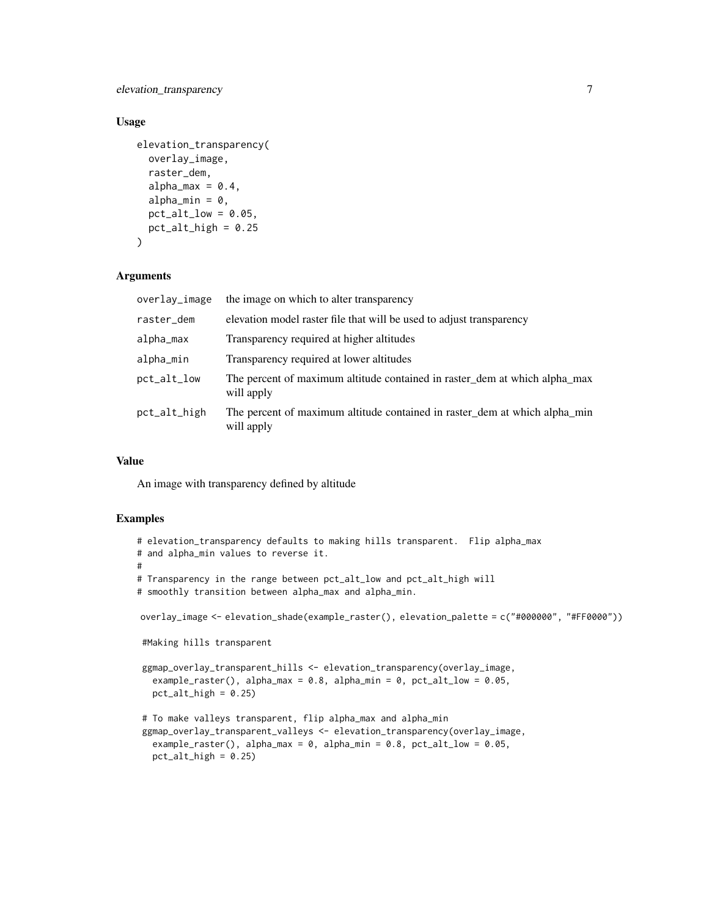elevation\_transparency 7

#### Usage

```
elevation_transparency(
  overlay_image,
  raster_dem,
  alpha_max = 0.4,
  alpha_min = 0,
  pt\_alt\_low = 0.05,
  pt\_alt\_high = 0.25\mathcal{L}
```
#### Arguments

| overlay_image | the image on which to alter transparency                                                 |
|---------------|------------------------------------------------------------------------------------------|
| raster_dem    | elevation model raster file that will be used to adjust transparency                     |
| alpha_max     | Transparency required at higher altitudes                                                |
| alpha_min     | Transparency required at lower altitudes                                                 |
| pct_alt_low   | The percent of maximum altitude contained in raster_dem at which alpha_max<br>will apply |
| pct_alt_high  | The percent of maximum altitude contained in raster_dem at which alpha_min<br>will apply |

#### Value

An image with transparency defined by altitude

```
# elevation_transparency defaults to making hills transparent. Flip alpha_max
# and alpha_min values to reverse it.
#
# Transparency in the range between pct_alt_low and pct_alt_high will
# smoothly transition between alpha_max and alpha_min.
overlay_image <- elevation_shade(example_raster(), elevation_palette = c("#000000", "#FF0000"))
#Making hills transparent
ggmap_overlay_transparent_hills <- elevation_transparency(overlay_image,
  example_raster(), alpha_max = 0.8, alpha_min = 0, pct_alt_low = 0.05,
  pt\_alt\_high = 0.25# To make valleys transparent, flip alpha_max and alpha_min
ggmap_overlay_transparent_valleys <- elevation_transparency(overlay_image,
  example_raster(), alpha_max = 0, alpha_min = 0.8, pct_alt_low = 0.05,
```

```
pct_alt_high = 0.25
```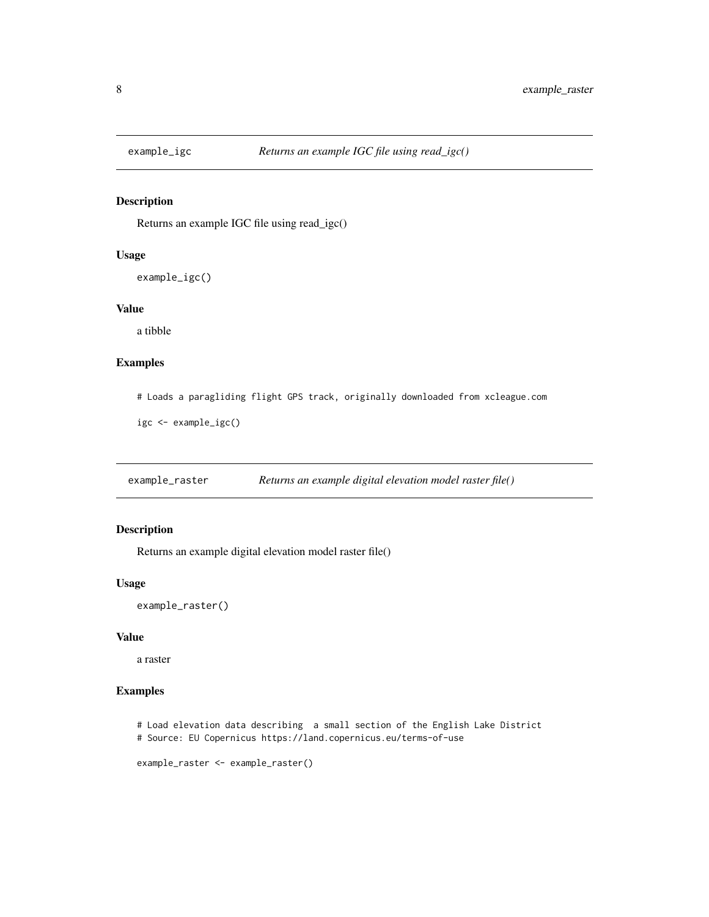<span id="page-7-0"></span>

Returns an example IGC file using read\_igc()

#### Usage

example\_igc()

#### Value

a tibble

#### Examples

# Loads a paragliding flight GPS track, originally downloaded from xcleague.com

igc <- example\_igc()

example\_raster *Returns an example digital elevation model raster file()*

#### Description

Returns an example digital elevation model raster file()

#### Usage

example\_raster()

#### Value

a raster

- # Load elevation data describing a small section of the English Lake District
- # Source: EU Copernicus https://land.copernicus.eu/terms-of-use

```
example_raster <- example_raster()
```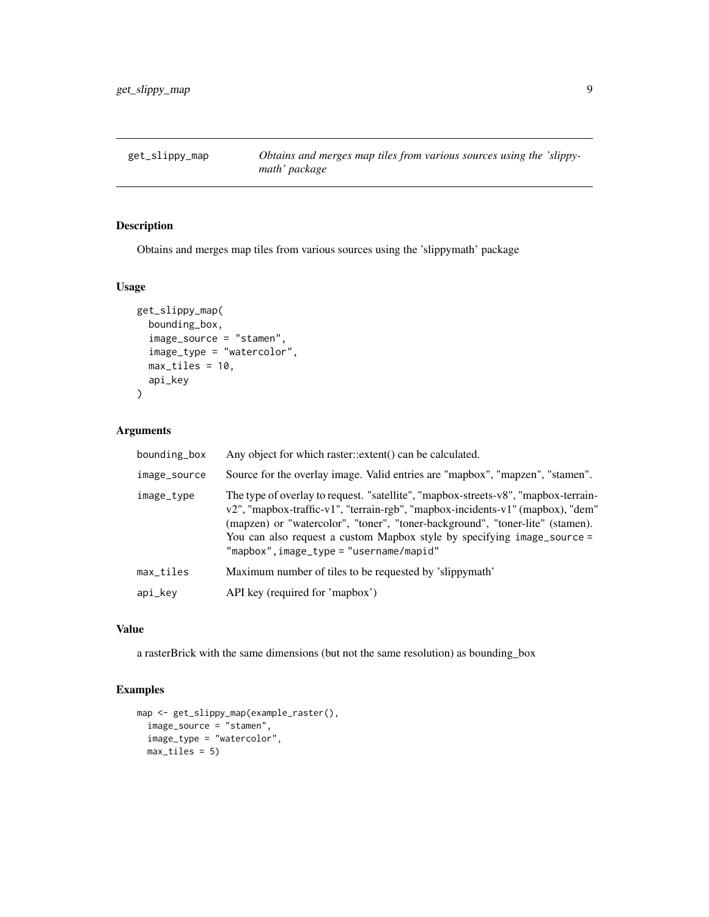<span id="page-8-0"></span>get\_slippy\_map *Obtains and merges map tiles from various sources using the 'slippymath' package*

#### Description

Obtains and merges map tiles from various sources using the 'slippymath' package

#### Usage

```
get_slippy_map(
 bounding_box,
  image_source = "stamen",
  image_type = "watercolor",
 max\_tiles = 10,
  api_key
)
```
#### Arguments

| bounding_box | Any object for which raster::extent() can be calculated.                                                                                                                                                                                                                                                                                                                         |
|--------------|----------------------------------------------------------------------------------------------------------------------------------------------------------------------------------------------------------------------------------------------------------------------------------------------------------------------------------------------------------------------------------|
| image_source | Source for the overlay image. Valid entries are "mapbox", "mapzen", "stamen".                                                                                                                                                                                                                                                                                                    |
| image_type   | The type of overlay to request. "satellite", "mapbox-streets-v8", "mapbox-terrain-<br>v2", "mapbox-traffic-v1", "terrain-rgb", "mapbox-incidents-v1" (mapbox), "dem"<br>(mapzen) or "watercolor", "toner", "toner-background", "toner-lite" (stamen).<br>You can also request a custom Mapbox style by specifying image_source =<br>$"mapbox"$ , $image_type = "username/mapid"$ |
| max_tiles    | Maximum number of tiles to be requested by 'slippymath'                                                                                                                                                                                                                                                                                                                          |
| api_key      | API key (required for 'mapbox')                                                                                                                                                                                                                                                                                                                                                  |

#### Value

a rasterBrick with the same dimensions (but not the same resolution) as bounding\_box

```
map <- get_slippy_map(example_raster(),
  image_source = "stamen",
  image_type = "watercolor",
  max_tiles = 5)
```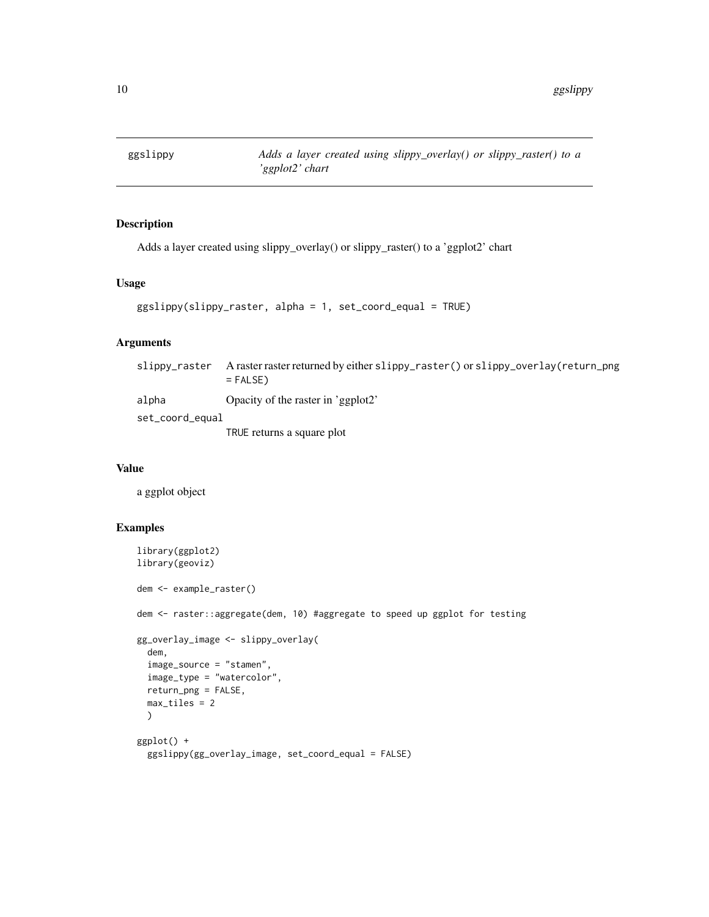<span id="page-9-0"></span>

Adds a layer created using slippy\_overlay() or slippy\_raster() to a 'ggplot2' chart

#### Usage

```
ggslippy(slippy_raster, alpha = 1, set_coord_equal = TRUE)
```
#### Arguments

| slippy_raster   | A raster raster returned by either slippy_raster() or slippy_overlay(return_png<br>$=$ FALSE) |
|-----------------|-----------------------------------------------------------------------------------------------|
| alpha           | Opacity of the raster in 'ggplot2'                                                            |
| set_coord_equal |                                                                                               |
|                 | TRUE returns a square plot                                                                    |

#### Value

a ggplot object

```
library(ggplot2)
library(geoviz)
dem <- example_raster()
dem <- raster::aggregate(dem, 10) #aggregate to speed up ggplot for testing
gg_overlay_image <- slippy_overlay(
  dem,
  image_source = "stamen",
  image_type = "watercolor",
  return_png = FALSE,
  max\_tiles = 2)
ggplot() +
  ggslippy(gg_overlay_image, set_coord_equal = FALSE)
```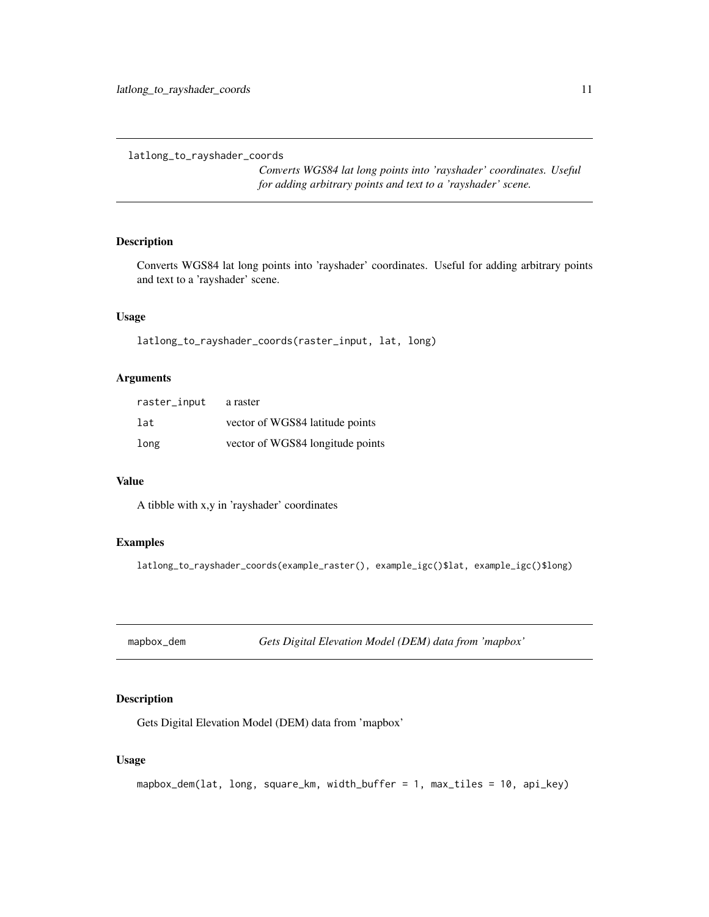<span id="page-10-0"></span>latlong\_to\_rayshader\_coords

*Converts WGS84 lat long points into 'rayshader' coordinates. Useful for adding arbitrary points and text to a 'rayshader' scene.*

#### Description

Converts WGS84 lat long points into 'rayshader' coordinates. Useful for adding arbitrary points and text to a 'rayshader' scene.

#### Usage

latlong\_to\_rayshader\_coords(raster\_input, lat, long)

#### Arguments

| raster_input | a raster                         |
|--------------|----------------------------------|
| lat          | vector of WGS84 latitude points  |
| long         | vector of WGS84 longitude points |

#### Value

A tibble with x,y in 'rayshader' coordinates

#### Examples

latlong\_to\_rayshader\_coords(example\_raster(), example\_igc()\$lat, example\_igc()\$long)

mapbox\_dem *Gets Digital Elevation Model (DEM) data from 'mapbox'*

#### Description

Gets Digital Elevation Model (DEM) data from 'mapbox'

#### Usage

```
mapbox_dem(lat, long, square_km, width_buffer = 1, max_tiles = 10, api_key)
```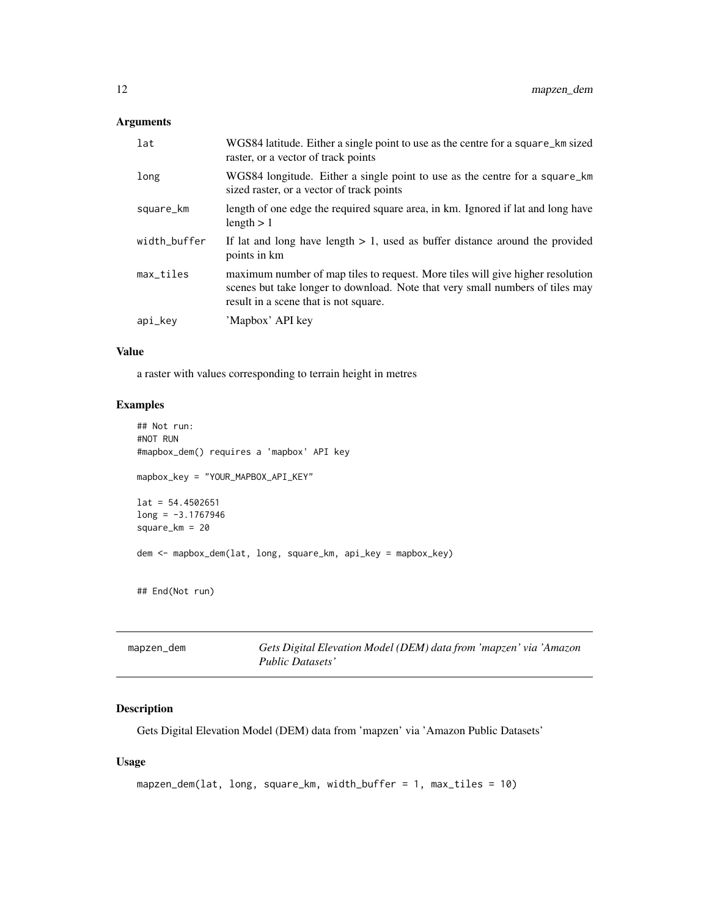#### <span id="page-11-0"></span>Arguments

| lat          | WGS84 latitude. Either a single point to use as the centre for a square_km sized<br>raster, or a vector of track points                                                                                  |
|--------------|----------------------------------------------------------------------------------------------------------------------------------------------------------------------------------------------------------|
| long         | WGS84 longitude. Either a single point to use as the centre for a square_km<br>sized raster, or a vector of track points                                                                                 |
| square_km    | length of one edge the required square area, in km. Ignored if lat and long have<br>length $> 1$                                                                                                         |
| width_buffer | If lat and long have length $> 1$ , used as buffer distance around the provided<br>points in km                                                                                                          |
| max_tiles    | maximum number of map tiles to request. More tiles will give higher resolution<br>scenes but take longer to download. Note that very small numbers of tiles may<br>result in a scene that is not square. |
| api_key      | 'Mapbox' API key                                                                                                                                                                                         |

#### Value

a raster with values corresponding to terrain height in metres

#### Examples

```
## Not run:
#NOT RUN
#mapbox_dem() requires a 'mapbox' API key
mapbox_key = "YOUR_MAPBOX_API_KEY"
lat = 54.4502651long = -3.1767946
square_km = 20
dem <- mapbox_dem(lat, long, square_km, api_key = mapbox_key)
## End(Not run)
```

| mapzen_dem | Gets Digital Elevation Model (DEM) data from 'mapzen' via 'Amazon |
|------------|-------------------------------------------------------------------|
|            | Public Datasets'                                                  |

#### Description

Gets Digital Elevation Model (DEM) data from 'mapzen' via 'Amazon Public Datasets'

#### Usage

```
mapzen_dem(lat, long, square_km, width_buffer = 1, max_tiles = 10)
```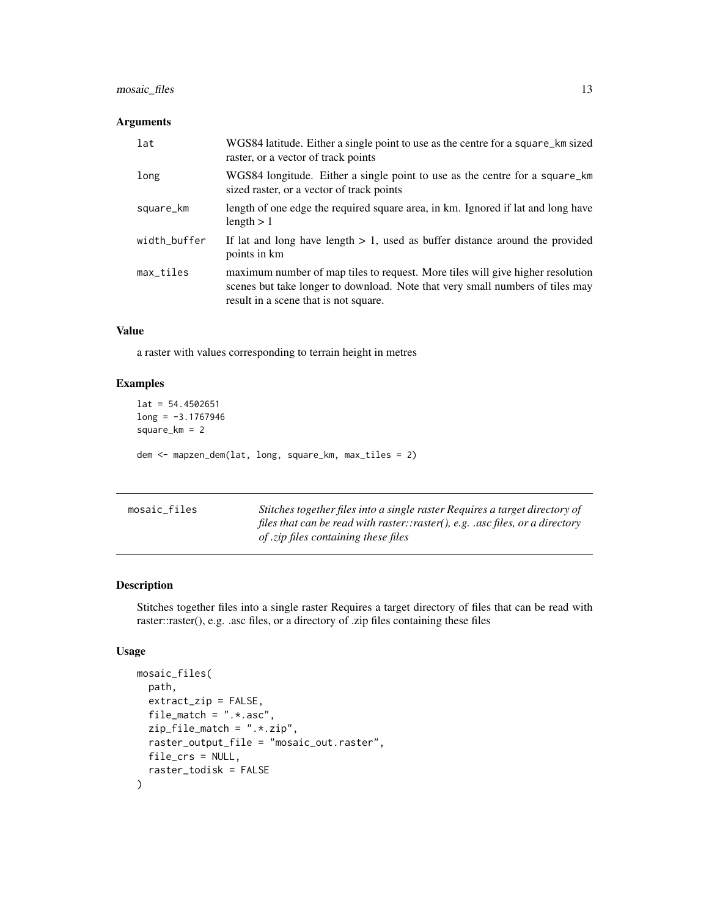#### <span id="page-12-0"></span>mosaic\_files 13

#### Arguments

| lat          | WGS84 latitude. Either a single point to use as the centre for a square_km sized<br>raster, or a vector of track points                                                                                  |
|--------------|----------------------------------------------------------------------------------------------------------------------------------------------------------------------------------------------------------|
| long         | WGS84 longitude. Either a single point to use as the centre for a square_km<br>sized raster, or a vector of track points                                                                                 |
| square_km    | length of one edge the required square area, in km. Ignored if lat and long have<br>length $> 1$                                                                                                         |
| width_buffer | If lat and long have length $> 1$ , used as buffer distance around the provided<br>points in km                                                                                                          |
| max_tiles    | maximum number of map tiles to request. More tiles will give higher resolution<br>scenes but take longer to download. Note that very small numbers of tiles may<br>result in a scene that is not square. |

#### Value

a raster with values corresponding to terrain height in metres

#### Examples

```
lat = 54.4502651long = -3.1767946
square_km = 2
dem <- mapzen_dem(lat, long, square_km, max_tiles = 2)
```

| mosaic_files | Stitches together files into a single raster Requires a target directory of   |
|--------------|-------------------------------------------------------------------------------|
|              | files that can be read with raster::raster(), e.g. .asc files, or a directory |
|              | <i>of .zip files containing these files</i>                                   |

#### Description

Stitches together files into a single raster Requires a target directory of files that can be read with raster::raster(), e.g. .asc files, or a directory of .zip files containing these files

#### Usage

```
mosaic_files(
  path,
  extract_zip = FALSE,
  file_match = ".* .asc",zip_file_match = ".*.zip",
  raster_output_file = "mosaic_out.raster",
  file_crs = NULL,
  raster_todisk = FALSE
\mathcal{L}
```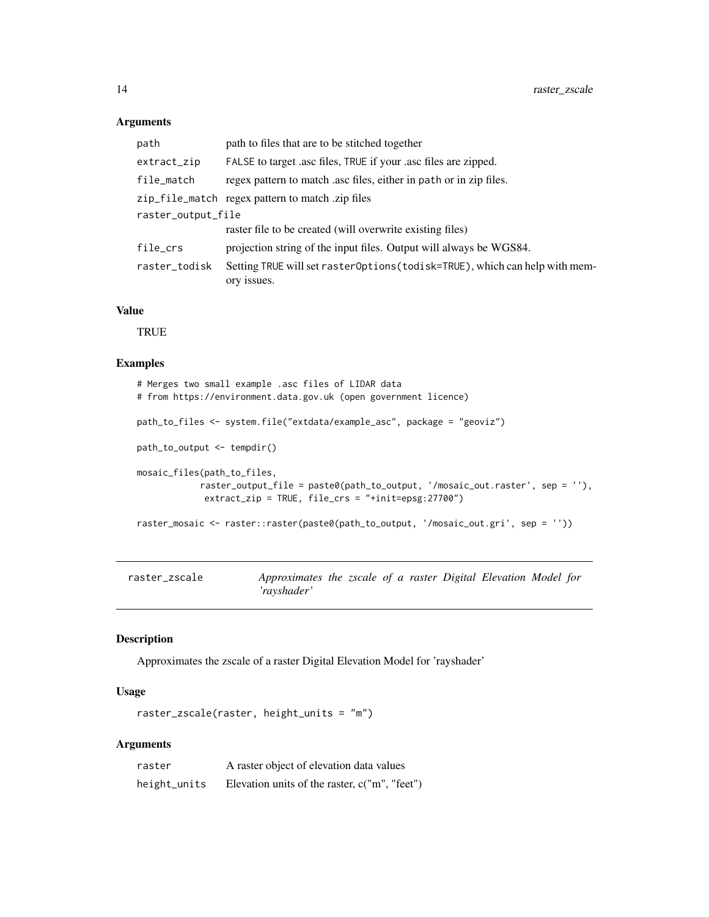#### Arguments

| path               | path to files that are to be stitched together                                             |
|--------------------|--------------------------------------------------------------------------------------------|
| extract_zip        | FALSE to target asc files, TRUE if your asc files are zipped.                              |
| file_match         | regex pattern to match asc files, either in path or in zip files.                          |
|                    | zip_file_match regex pattern to match.zip files                                            |
| raster_output_file |                                                                                            |
|                    | raster file to be created (will overwrite existing files)                                  |
| file_crs           | projection string of the input files. Output will always be WGS84.                         |
| raster_todisk      | Setting TRUE will set rasterOptions (todisk=TRUE), which can help with mem-<br>ory issues. |

#### Value

**TRUE** 

#### Examples

```
# Merges two small example .asc files of LIDAR data
# from https://environment.data.gov.uk (open government licence)
path_to_files <- system.file("extdata/example_asc", package = "geoviz")
path_to_output <- tempdir()
mosaic_files(path_to_files,
            raster_output_file = paste0(path_to_output, '/mosaic_out.raster', sep = ''),
            extract_zip = TRUE, file_crs = "+init=epsg:27700")
raster_mosaic <- raster::raster(paste0(path_to_output, '/mosaic_out.gri', sep = ''))
```

| raster_zscale | Approximates the zscale of a raster Digital Elevation Model for |  |  |  |  |
|---------------|-----------------------------------------------------------------|--|--|--|--|
|               | 'ravshader'                                                     |  |  |  |  |

#### Description

Approximates the zscale of a raster Digital Elevation Model for 'rayshader'

#### Usage

raster\_zscale(raster, height\_units = "m")

#### Arguments

| raster       | A raster object of elevation data values        |
|--------------|-------------------------------------------------|
| height_units | Elevation units of the raster, $c("m", "feet")$ |

<span id="page-13-0"></span>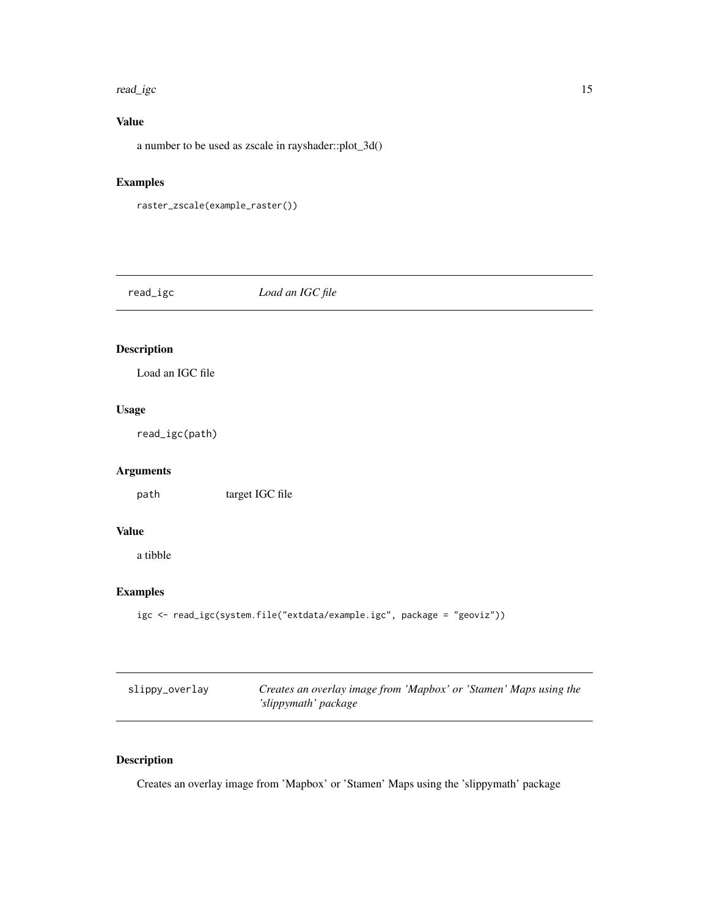#### <span id="page-14-0"></span>read\_igc 15

#### Value

a number to be used as zscale in rayshader::plot\_3d()

#### Examples

```
raster_zscale(example_raster())
```
read\_igc *Load an IGC file*

#### Description

Load an IGC file

#### Usage

read\_igc(path)

#### Arguments

path target IGC file

#### Value

a tibble

#### Examples

```
igc <- read_igc(system.file("extdata/example.igc", package = "geoviz"))
```

| slippy_overlay | Creates an overlay image from 'Mapbox' or 'Stamen' Maps using the |
|----------------|-------------------------------------------------------------------|
|                | 'slippymath' package                                              |

#### Description

Creates an overlay image from 'Mapbox' or 'Stamen' Maps using the 'slippymath' package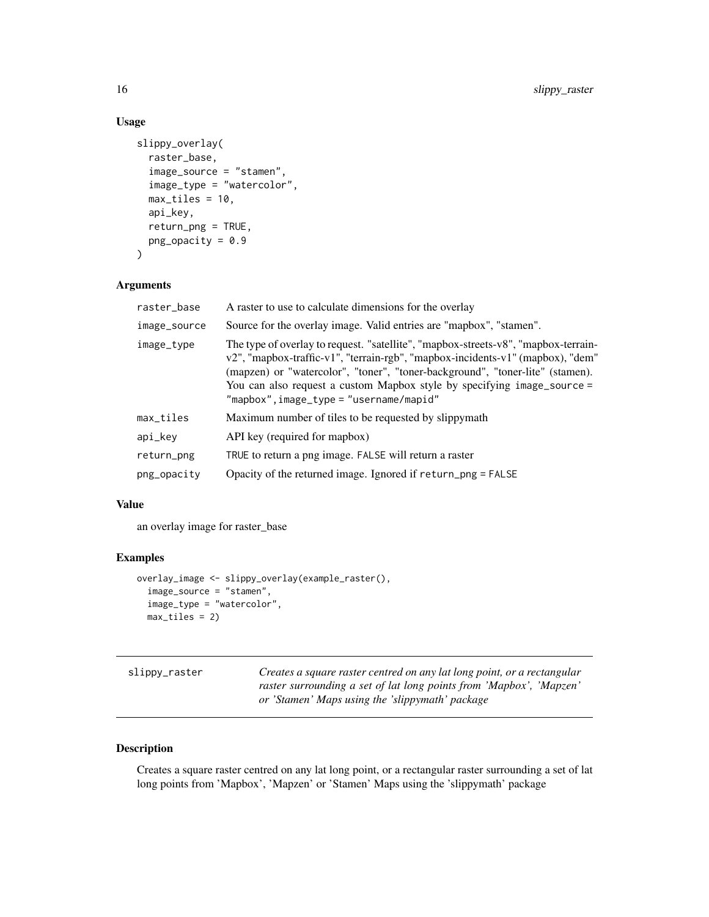#### Usage

```
slippy_overlay(
  raster_base,
  image_source = "stamen",
  image_type = "watercolor",
 max\_tiles = 10,
 api_key,
  return_png = TRUE,
 png\_opacity = 0.9\mathcal{L}
```
#### Arguments

| raster_base  | A raster to use to calculate dimensions for the overlay                                                                                                                                                                                                                                                                                                                    |
|--------------|----------------------------------------------------------------------------------------------------------------------------------------------------------------------------------------------------------------------------------------------------------------------------------------------------------------------------------------------------------------------------|
| image_source | Source for the overlay image. Valid entries are "mapbox", "stamen".                                                                                                                                                                                                                                                                                                        |
| image_type   | The type of overlay to request. "satellite", "mapbox-streets-v8", "mapbox-terrain-<br>v2", "mapbox-traffic-v1", "terrain-rgb", "mapbox-incidents-v1" (mapbox), "dem"<br>(mapzen) or "watercolor", "toner", "toner-background", "toner-lite" (stamen).<br>You can also request a custom Mapbox style by specifying image_source =<br>"mapbox",image_type = "username/mapid" |
| max_tiles    | Maximum number of tiles to be requested by slippymath                                                                                                                                                                                                                                                                                                                      |
| api_key      | API key (required for mapbox)                                                                                                                                                                                                                                                                                                                                              |
| return_png   | TRUE to return a png image. FALSE will return a raster                                                                                                                                                                                                                                                                                                                     |
| png_opacity  | Opacity of the returned image. Ignored if return_png = FALSE                                                                                                                                                                                                                                                                                                               |

#### Value

an overlay image for raster\_base

#### Examples

```
overlay_image <- slippy_overlay(example_raster(),
  image_source = "stamen",
  image_type = "watercolor",
  max_tiles = 2)
```

| slippy_raster | Creates a square raster centred on any lat long point, or a rectangular |
|---------------|-------------------------------------------------------------------------|
|               | raster surrounding a set of lat long points from 'Mapbox', 'Mapzen'     |
|               | or 'Stamen' Maps using the 'slippymath' package                         |

#### Description

Creates a square raster centred on any lat long point, or a rectangular raster surrounding a set of lat long points from 'Mapbox', 'Mapzen' or 'Stamen' Maps using the 'slippymath' package

<span id="page-15-0"></span>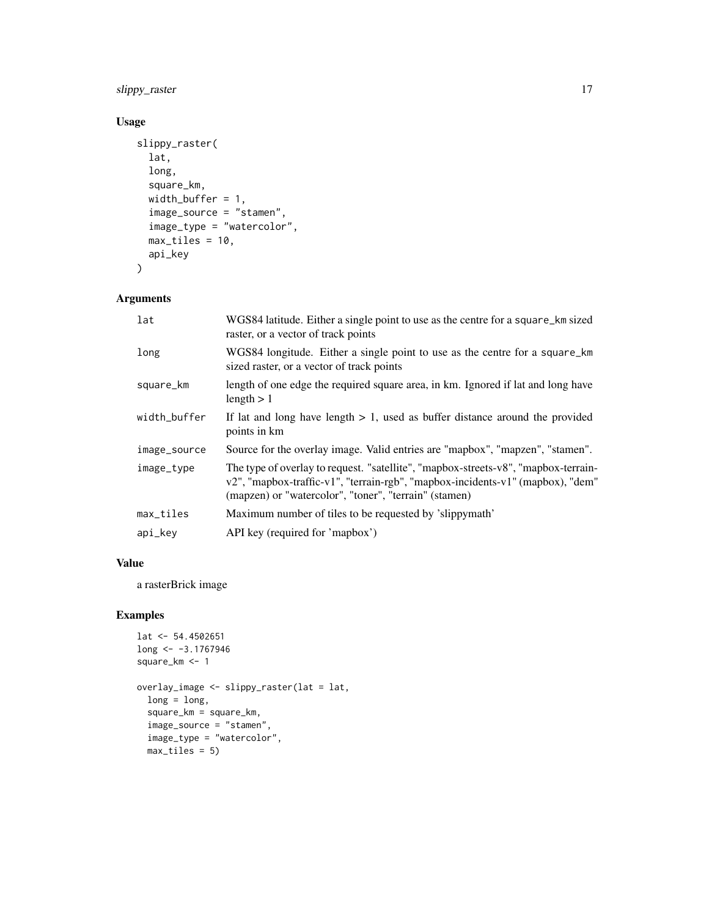slippy\_raster 17

#### Usage

```
slippy_raster(
  lat,
  long,
  square_km,
  width_buffer = 1,
  image_source = "stamen",
  image_type = "watercolor",
  max\_tiles = 10,
  api_key
\mathcal{L}
```
#### Arguments

| lat          | WGS84 latitude. Either a single point to use as the centre for a square_km sized<br>raster, or a vector of track points                                                                                                       |
|--------------|-------------------------------------------------------------------------------------------------------------------------------------------------------------------------------------------------------------------------------|
| long         | WGS84 longitude. Either a single point to use as the centre for a square_km<br>sized raster, or a vector of track points                                                                                                      |
| square_km    | length of one edge the required square area, in km. Ignored if lat and long have<br>length $> 1$                                                                                                                              |
| width_buffer | If lat and long have length $> 1$ , used as buffer distance around the provided<br>points in km                                                                                                                               |
| image_source | Source for the overlay image. Valid entries are "mapbox", "mapzen", "stamen".                                                                                                                                                 |
| image_type   | The type of overlay to request. "satellite", "mapbox-streets-v8", "mapbox-terrain-<br>v2", "mapbox-traffic-v1", "terrain-rgb", "mapbox-incidents-v1" (mapbox), "dem"<br>(mapzen) or "watercolor", "toner", "terrain" (stamen) |
| max_tiles    | Maximum number of tiles to be requested by 'slippymath'                                                                                                                                                                       |
| api_key      | API key (required for 'mapbox')                                                                                                                                                                                               |

#### Value

a rasterBrick image

```
lat <- 54.4502651
long <- -3.1767946
square_km <- 1
overlay_image <- slippy_raster(lat = lat,
  long = long,square_km = square_km,
  image_source = "stamen",
  image_type = "watercolor",
  max_tiles = 5)
```